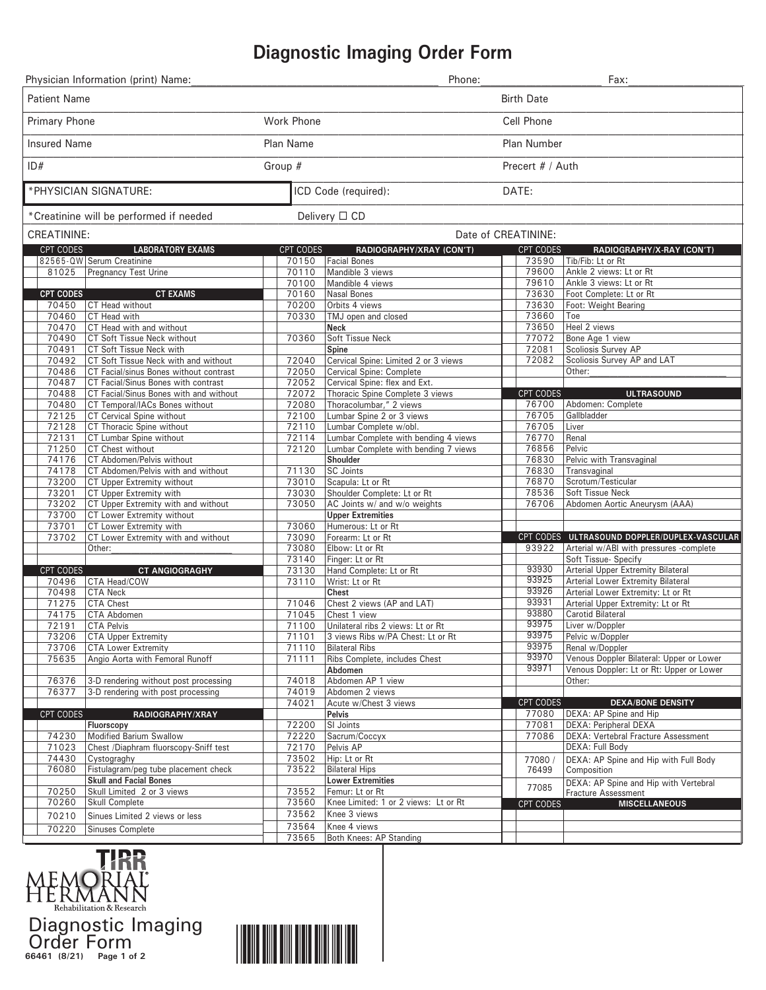## **Diagnostic Imaging Order Form**

| Physician Information (print) Name:                      |                                                             |                      | Phone:                                                  |                  | Fax:                                                                                    |
|----------------------------------------------------------|-------------------------------------------------------------|----------------------|---------------------------------------------------------|------------------|-----------------------------------------------------------------------------------------|
| <b>Patient Name</b>                                      |                                                             |                      | <b>Birth Date</b>                                       |                  |                                                                                         |
| Primary Phone                                            |                                                             | Work Phone           |                                                         | Cell Phone       |                                                                                         |
| <b>Insured Name</b>                                      |                                                             | Plan Name            |                                                         | Plan Number      |                                                                                         |
| ID#                                                      |                                                             | Group #              |                                                         | Precert # / Auth |                                                                                         |
| *PHYSICIAN SIGNATURE:                                    |                                                             | ICD Code (required): |                                                         | DATE:            |                                                                                         |
| Delivery □ CD<br>*Creatinine will be performed if needed |                                                             |                      |                                                         |                  |                                                                                         |
| CREATININE:                                              |                                                             |                      | Date of CREATININE:                                     |                  |                                                                                         |
| CPT CODES                                                | <b>LABORATORY EXAMS</b>                                     | CPT CODES            | RADIOGRAPHY/XRAY (CON'T)                                | <b>CPT CODES</b> | RADIOGRAPHY/X-RAY (CON'T)                                                               |
|                                                          | 82565-QW Serum Creatinine                                   | 70150                | Facial Bones                                            | 73590<br>79600   | Tib/Fib: Lt or Rt<br>Ankle 2 views: Lt or Rt                                            |
| 81025                                                    | Pregnancy Test Urine                                        | 70110<br>70100       | Mandible 3 views<br>Mandible 4 views                    | 79610            | Ankle 3 views: Lt or Rt                                                                 |
| <b>CPT CODES</b>                                         | <b>CT EXAMS</b>                                             | 70160                | Nasal Bones                                             | 73630            | Foot Complete: Lt or Rt                                                                 |
| 70450                                                    | CT Head without                                             | 70200                | Orbits 4 views                                          | 73630            | Foot: Weight Bearing                                                                    |
| 70460                                                    | CT Head with                                                | 70330                | TMJ open and closed                                     | 73660            | Toe                                                                                     |
| 70470                                                    | CT Head with and without                                    |                      | <b>Neck</b>                                             | 73650            | Heel 2 views                                                                            |
| 70490                                                    | CT Soft Tissue Neck without                                 | 70360                | Soft Tissue Neck                                        | 77072            | Bone Age 1 view                                                                         |
| 70491                                                    | CT Soft Tissue Neck with                                    |                      | Spine                                                   | 72081            | Scoliosis Survey AP                                                                     |
| 70492                                                    | CT Soft Tissue Neck with and without                        | 72040                | Cervical Spine: Limited 2 or 3 views                    | 72082            | Scoliosis Survey AP and LAT                                                             |
| 70486                                                    | CT Facial/sinus Bones without contrast                      | 72050                | Cervical Spine: Complete                                |                  | Other:                                                                                  |
| 70487                                                    | CT Facial/Sinus Bones with contrast                         | 72052                | Cervical Spine: flex and Ext.                           |                  |                                                                                         |
| 70488                                                    | CT Facial/Sinus Bones with and without                      | 72072                | Thoracic Spine Complete 3 views                         | CPT CODES        | <b>ULTRASOUND</b><br>Abdomen: Complete                                                  |
| 70480<br>72125                                           | CT Temporal/IACs Bones without<br>CT Cervical Spine without | 72080<br>72100       | Thoracolumbar," 2 views<br>Lumbar Spine 2 or 3 views    | 76700<br>76705   | Gallbladder                                                                             |
| 72128                                                    | CT Thoracic Spine without                                   | 72110                | Lumbar Complete w/obl.                                  | 76705            | Liver                                                                                   |
| 72131                                                    | CT Lumbar Spine without                                     | 72114                | Lumbar Complete with bending 4 views                    | 76770            | Renal                                                                                   |
| 71250                                                    | CT Chest without                                            | 72120                | Lumbar Complete with bending 7 views                    | 76856            | Pelvic                                                                                  |
| 74176                                                    | CT Abdomen/Pelvis without                                   |                      | Shoulder                                                | 76830            | Pelvic with Transvaginal                                                                |
| 74178                                                    | CT Abdomen/Pelvis with and without                          | 71130                | SC Joints                                               | 76830            | Transvaginal                                                                            |
| 73200                                                    | CT Upper Extremity without                                  | 73010                | Scapula: Lt or Rt                                       | 76870            | Scrotum/Testicular                                                                      |
| 73201                                                    | CT Upper Extremity with                                     | 73030                | Shoulder Complete: Lt or Rt                             | 78536            | Soft Tissue Neck                                                                        |
| 73202                                                    | CT Upper Extremity with and without                         | 73050                | AC Joints w/ and w/o weights                            | 76706            | Abdomen Aortic Aneurysm (AAA)                                                           |
| 73700                                                    | CT Lower Extremity without                                  |                      | <b>Upper Extremities</b>                                |                  |                                                                                         |
| 73701                                                    | CT Lower Extremity with                                     | 73060                | Humerous: Lt or Rt                                      |                  |                                                                                         |
| 73702                                                    | CT Lower Extremity with and without<br>Other:               | 73090<br>73080       | Forearm: Lt or Rt<br>Elbow: Lt or Rt                    | 93922            | CPT CODES ULTRASOUND DOPPLER/DUPLEX-VASCULAR<br>Arterial w/ABI with pressures -complete |
|                                                          |                                                             | 73140                | Finger: Lt or Rt                                        |                  | Soft Tissue- Specify                                                                    |
| CPT CODES                                                | <b>CT ANGIOGRAGHY</b>                                       | 73130                | Hand Complete: Lt or Rt                                 | 93930            | <b>Arterial Upper Extremity Bilateral</b>                                               |
| 70496                                                    | CTA Head/COW                                                | 73110                | Wrist: Lt or Rt                                         | 93925            | <b>Arterial Lower Extremity Bilateral</b>                                               |
| 70498                                                    | <b>CTA Neck</b>                                             |                      | Chest                                                   | 93926            | Arterial Lower Extremity: Lt or Rt                                                      |
| 71275                                                    | <b>CTA Chest</b>                                            | 71046                | Chest 2 views (AP and LAT)                              | 93931            | Arterial Upper Extremity: Lt or Rt                                                      |
| 74175                                                    | CTA Abdomen                                                 | 71045                | Chest 1 view                                            | 93880            | <b>Carotid Bilateral</b>                                                                |
| 72191                                                    | <b>CTA Pelvis</b>                                           | 71100                | Unilateral ribs 2 views: Lt or Rt                       | 93975            | Liver w/Doppler                                                                         |
| 73206                                                    | <b>CTA Upper Extremity</b>                                  | 71101                | 3 views Ribs w/PA Chest: Lt or Rt                       | 93975            | Pelvic w/Doppler                                                                        |
| 73706                                                    | <b>CTA Lower Extremity</b>                                  | 71110                | <b>Bilateral Ribs</b>                                   | 93975<br>93970   | Renal w/Doppler                                                                         |
| 75635                                                    | Angio Aorta with Femoral Runoff                             | 71111                | Ribs Complete, includes Chest                           | 93971            | Venous Doppler Bilateral: Upper or Lower<br>Venous Doppler: Lt or Rt: Upper or Lower    |
| 76376                                                    | 3-D rendering without post processing                       | 74018                | Abdomen<br>Abdomen AP 1 view                            |                  | Other:                                                                                  |
| 76377                                                    | 3-D rendering with post processing                          | 74019                | Abdomen 2 views                                         |                  |                                                                                         |
|                                                          |                                                             | 74021                | Acute w/Chest 3 views                                   | CPT CODES        | <b>DEXA/BONE DENSITY</b>                                                                |
| CPT CODES                                                | RADIOGRAPHY/XRAY                                            |                      | Pelvis                                                  | 77080            | DEXA: AP Spine and Hip                                                                  |
|                                                          | Fluorscopy                                                  | 72200                | SI Joints                                               | 77081            | <b>DEXA: Peripheral DEXA</b>                                                            |
| 74230                                                    | Modified Barium Swallow                                     | 72220                | Sacrum/Coccyx                                           | 77086            | <b>DEXA: Vertebral Fracture Assessment</b>                                              |
| 71023                                                    | Chest /Diaphram fluorscopy-Sniff test                       | 72170                | Pelvis AP                                               |                  | DEXA: Full Body                                                                         |
| 74430                                                    | Cystograghy                                                 | 73502                | Hip: Lt or Rt                                           | 77080            | DEXA: AP Spine and Hip with Full Body                                                   |
| 76080                                                    | Fistulagram/peg tube placement check                        | 73522                | <b>Bilateral Hips</b>                                   | 76499            | Composition                                                                             |
|                                                          | <b>Skull and Facial Bones</b>                               |                      | <b>Lower Extremities</b>                                | 77085            | DEXA: AP Spine and Hip with Vertebral                                                   |
| 70250<br>70260                                           | Skull Limited 2 or 3 views<br><b>Skull Complete</b>         | 73552<br>73560       | Femur: Lt or Rt<br>Knee Limited: 1 or 2 views: Lt or Rt |                  | Fracture Assessment                                                                     |
|                                                          |                                                             | 73562                | Knee 3 views                                            | CPT CODES        | <b>MISCELLANEOUS</b>                                                                    |
| 70210                                                    | Sinues Limited 2 views or less                              | 73564                | Knee 4 views                                            |                  |                                                                                         |
| 70220                                                    | Sinuses Complete                                            | 73565                | <b>Both Knees: AP Standing</b>                          |                  |                                                                                         |
|                                                          |                                                             |                      |                                                         |                  |                                                                                         |



**66461 (8/21) Page 1 of 2** Diagnostic Imaging Order Form